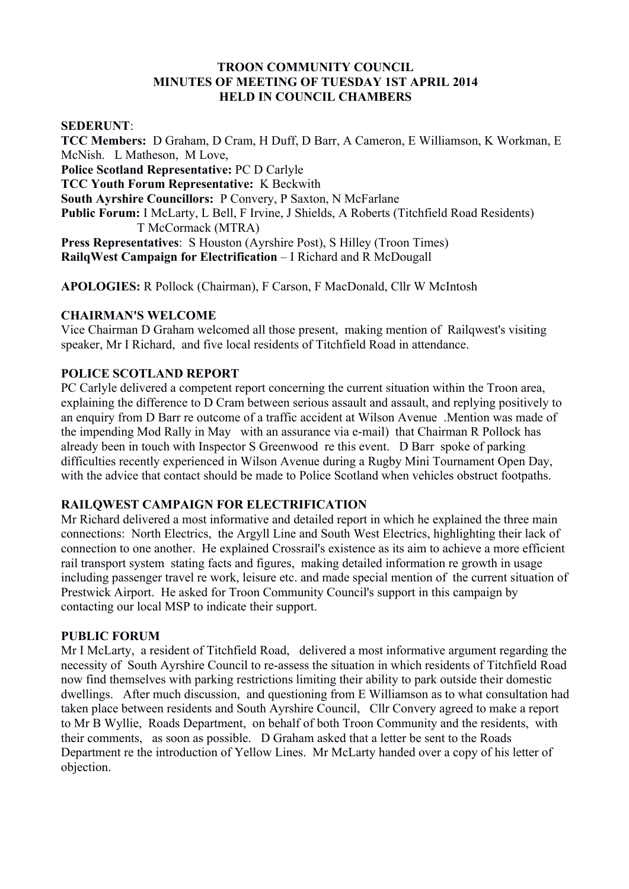#### **TROON COMMUNITY COUNCIL MINUTES OF MEETING OF TUESDAY 1ST APRIL 2014 HELD IN COUNCIL CHAMBERS**

### **SEDERUNT**:

**TCC Members:** D Graham, D Cram, H Duff, D Barr, A Cameron, E Williamson, K Workman, E McNish. L Matheson, M Love, **Police Scotland Representative:** PC D Carlyle **TCC Youth Forum Representative:** K Beckwith **South Ayrshire Councillors:** P Convery, P Saxton, N McFarlane **Public Forum:** I McLarty, L Bell, F Irvine, J Shields, A Roberts (Titchfield Road Residents) T McCormack (MTRA) **Press Representatives**: S Houston (Ayrshire Post), S Hilley (Troon Times) **RailgWest Campaign for Electrification – I Richard and R McDougall** 

**APOLOGIES:** R Pollock (Chairman), F Carson, F MacDonald, Cllr W McIntosh

### **CHAIRMAN'S WELCOME**

Vice Chairman D Graham welcomed all those present, making mention of Railqwest's visiting speaker, Mr I Richard, and five local residents of Titchfield Road in attendance.

### **POLICE SCOTLAND REPORT**

PC Carlyle delivered a competent report concerning the current situation within the Troon area, explaining the difference to D Cram between serious assault and assault, and replying positively to an enquiry from D Barr re outcome of a traffic accident at Wilson Avenue .Mention was made of the impending Mod Rally in May with an assurance via e-mail) that Chairman R Pollock has already been in touch with Inspector S Greenwood re this event. D Barr spoke of parking difficulties recently experienced in Wilson Avenue during a Rugby Mini Tournament Open Day, with the advice that contact should be made to Police Scotland when vehicles obstruct footpaths.

#### **RAILQWEST CAMPAIGN FOR ELECTRIFICATION**

Mr Richard delivered a most informative and detailed report in which he explained the three main connections: North Electrics, the Argyll Line and South West Electrics, highlighting their lack of connection to one another. He explained Crossrail's existence as its aim to achieve a more efficient rail transport system stating facts and figures, making detailed information re growth in usage including passenger travel re work, leisure etc. and made special mention of the current situation of Prestwick Airport. He asked for Troon Community Council's support in this campaign by contacting our local MSP to indicate their support.

#### **PUBLIC FORUM**

Mr I McLarty, a resident of Titchfield Road, delivered a most informative argument regarding the necessity of South Ayrshire Council to re-assess the situation in which residents of Titchfield Road now find themselves with parking restrictions limiting their ability to park outside their domestic dwellings. After much discussion, and questioning from E Williamson as to what consultation had taken place between residents and South Ayrshire Council, Cllr Convery agreed to make a report to Mr B Wyllie, Roads Department, on behalf of both Troon Community and the residents, with their comments, as soon as possible. D Graham asked that a letter be sent to the Roads Department re the introduction of Yellow Lines. Mr McLarty handed over a copy of his letter of objection.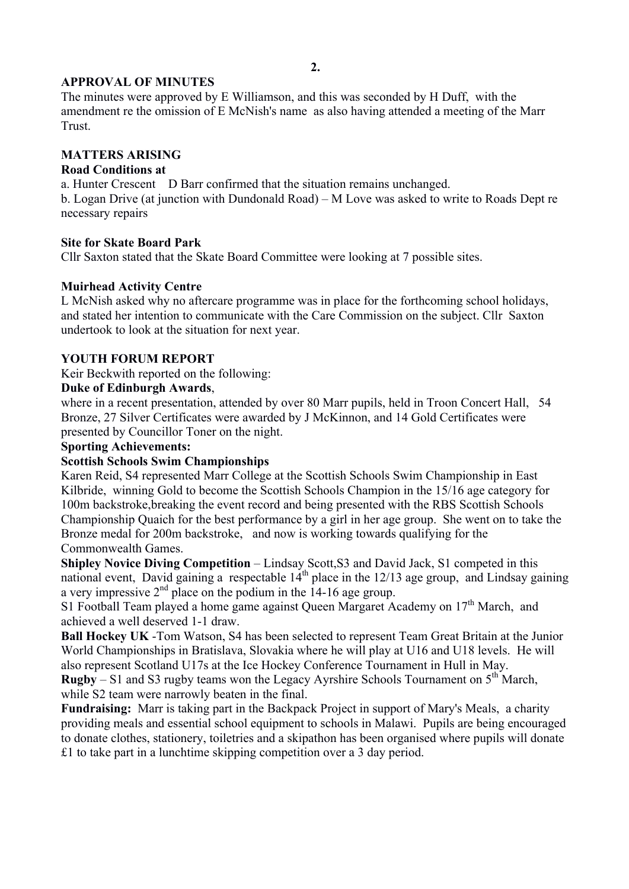# **2.**

# **APPROVAL OF MINUTES**

The minutes were approved by E Williamson, and this was seconded by H Duff, with the amendment re the omission of E McNish's name as also having attended a meeting of the Marr Trust.

# **MATTERS ARISING**

## **Road Conditions at**

a. Hunter Crescent D Barr confirmed that the situation remains unchanged. b. Logan Drive (at junction with Dundonald Road) – M Love was asked to write to Roads Dept re necessary repairs

## **Site for Skate Board Park**

Cllr Saxton stated that the Skate Board Committee were looking at 7 possible sites.

# **Muirhead Activity Centre**

L McNish asked why no aftercare programme was in place for the forthcoming school holidays, and stated her intention to communicate with the Care Commission on the subject. Cllr Saxton undertook to look at the situation for next year.

# **YOUTH FORUM REPORT**

Keir Beckwith reported on the following:

# **Duke of Edinburgh Awards**,

where in a recent presentation, attended by over 80 Marr pupils, held in Troon Concert Hall, 54 Bronze, 27 Silver Certificates were awarded by J McKinnon, and 14 Gold Certificates were presented by Councillor Toner on the night.

## **Sporting Achievements:**

## **Scottish Schools Swim Championships**

Karen Reid, S4 represented Marr College at the Scottish Schools Swim Championship in East Kilbride, winning Gold to become the Scottish Schools Champion in the 15/16 age category for 100m backstroke,breaking the event record and being presented with the RBS Scottish Schools Championship Quaich for the best performance by a girl in her age group. She went on to take the Bronze medal for 200m backstroke, and now is working towards qualifying for the Commonwealth Games.

**Shipley Novice Diving Competition** – Lindsay Scott,S3 and David Jack, S1 competed in this national event, David gaining a respectable  $14<sup>th</sup>$  place in the 12/13 age group, and Lindsay gaining a very impressive  $2<sup>nd</sup>$  place on the podium in the 14-16 age group.

S1 Football Team played a home game against Oueen Margaret Academy on  $17<sup>th</sup>$  March, and achieved a well deserved 1-1 draw.

**Ball Hockey UK** -Tom Watson, S4 has been selected to represent Team Great Britain at the Junior World Championships in Bratislava, Slovakia where he will play at U16 and U18 levels. He will also represent Scotland U17s at the Ice Hockey Conference Tournament in Hull in May. **Rugby** – S1 and S3 rugby teams won the Legacy Ayrshire Schools Tournament on  $5<sup>th</sup>$  March,

while S2 team were narrowly beaten in the final.

**Fundraising:** Marr is taking part in the Backpack Project in support of Mary's Meals, a charity providing meals and essential school equipment to schools in Malawi. Pupils are being encouraged to donate clothes, stationery, toiletries and a skipathon has been organised where pupils will donate £1 to take part in a lunchtime skipping competition over a 3 day period.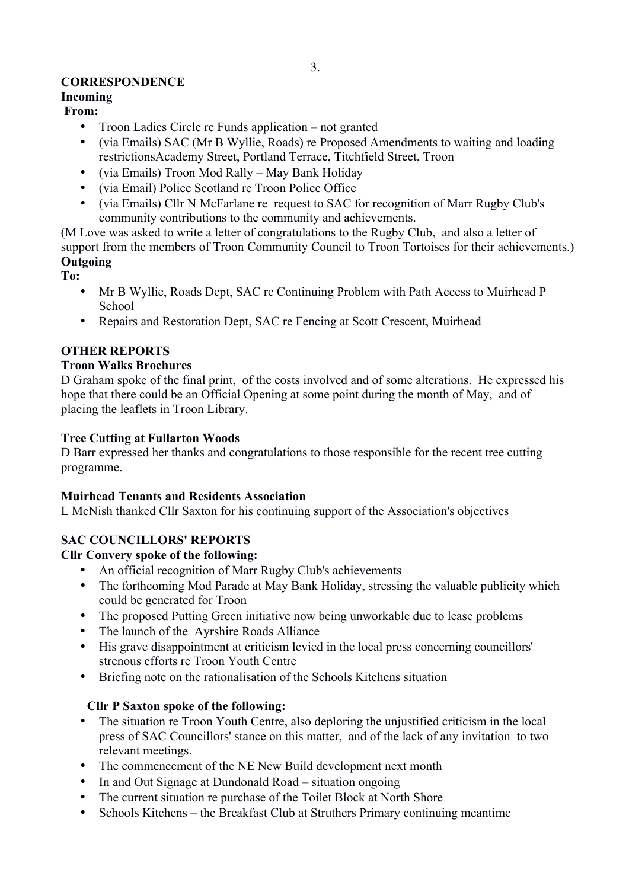# **CORRESPONDENCE**

# **Incoming**

# **From:**

- Troon Ladies Circle re Funds application not granted
- (via Emails) SAC (Mr B Wyllie, Roads) re Proposed Amendments to waiting and loading restrictionsAcademy Street, Portland Terrace, Titchfield Street, Troon
- (via Emails) Troon Mod Rally May Bank Holiday
- (via Email) Police Scotland re Troon Police Office
- (via Emails) Cllr N McFarlane re request to SAC for recognition of Marr Rugby Club's community contributions to the community and achievements.

(M Love was asked to write a letter of congratulations to the Rugby Club, and also a letter of support from the members of Troon Community Council to Troon Tortoises for their achievements.) **Outgoing**

**To:**

- Mr B Wyllie, Roads Dept, SAC re Continuing Problem with Path Access to Muirhead P **School**
- Repairs and Restoration Dept, SAC re Fencing at Scott Crescent, Muirhead

# **OTHER REPORTS**

# **Troon Walks Brochures**

D Graham spoke of the final print, of the costs involved and of some alterations. He expressed his hope that there could be an Official Opening at some point during the month of May, and of placing the leaflets in Troon Library.

# **Tree Cutting at Fullarton Woods**

D Barr expressed her thanks and congratulations to those responsible for the recent tree cutting programme.

# **Muirhead Tenants and Residents Association**

L McNish thanked Cllr Saxton for his continuing support of the Association's objectives

# **SAC COUNCILLORS' REPORTS**

# **Cllr Convery spoke of the following:**

- An official recognition of Marr Rugby Club's achievements
- The forthcoming Mod Parade at May Bank Holiday, stressing the valuable publicity which could be generated for Troon
- The proposed Putting Green initiative now being unworkable due to lease problems<br>• The launch of the Avrshire Roads Alliance
- The launch of the Ayrshire Roads Alliance
- His grave disappointment at criticism levied in the local press concerning councillors' strenous efforts re Troon Youth Centre
- Briefing note on the rationalisation of the Schools Kitchens situation

# **Cllr P Saxton spoke of the following:**

- The situation re Troon Youth Centre, also deploring the unjustified criticism in the local press of SAC Councillors' stance on this matter, and of the lack of any invitation to two relevant meetings.
- The commencement of the NE New Build development next month
- In and Out Signage at Dundonald Road situation ongoing
- The current situation re purchase of the Toilet Block at North Shore
- Schools Kitchens the Breakfast Club at Struthers Primary continuing meantime